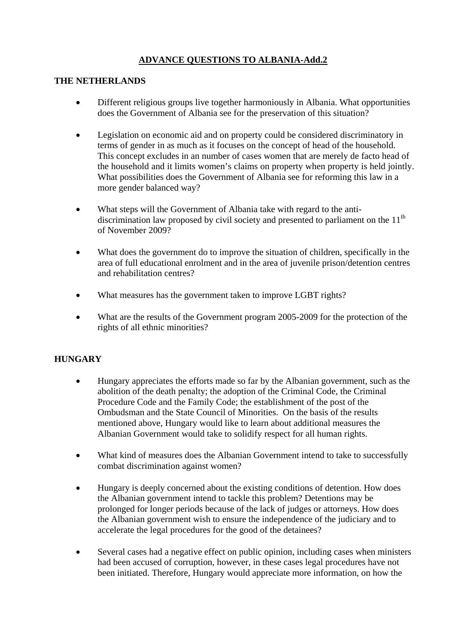## **ADVANCE QUESTIONS TO ALBANIA-Add.2**

## **THE NETHERLANDS**

- Different religious groups live together harmoniously in Albania. What opportunities does the Government of Albania see for the preservation of this situation?
- Legislation on economic aid and on property could be considered discriminatory in terms of gender in as much as it focuses on the concept of head of the household. This concept excludes in an number of cases women that are merely de facto head of the household and it limits women's claims on property when property is held jointly. What possibilities does the Government of Albania see for reforming this law in a more gender balanced way?
- What steps will the Government of Albania take with regard to the antidiscrimination law proposed by civil society and presented to parliament on the  $11<sup>th</sup>$ of November 2009?
- What does the government do to improve the situation of children, specifically in the area of full educational enrolment and in the area of juvenile prison/detention centres and rehabilitation centres?
- What measures has the government taken to improve LGBT rights?
- What are the results of the Government program 2005-2009 for the protection of the rights of all ethnic minorities?

## **HUNGARY**

- Hungary appreciates the efforts made so far by the Albanian government, such as the abolition of the death penalty; the adoption of the Criminal Code, the Criminal Procedure Code and the Family Code; the establishment of the post of the Ombudsman and the State Council of Minorities. On the basis of the results mentioned above, Hungary would like to learn about additional measures the Albanian Government would take to solidify respect for all human rights.
- What kind of measures does the Albanian Government intend to take to successfully combat discrimination against women?
- Hungary is deeply concerned about the existing conditions of detention. How does the Albanian government intend to tackle this problem? Detentions may be prolonged for longer periods because of the lack of judges or attorneys. How does the Albanian government wish to ensure the independence of the judiciary and to accelerate the legal procedures for the good of the detainees?
- Several cases had a negative effect on public opinion, including cases when ministers had been accused of corruption, however, in these cases legal procedures have not been initiated. Therefore, Hungary would appreciate more information, on how the